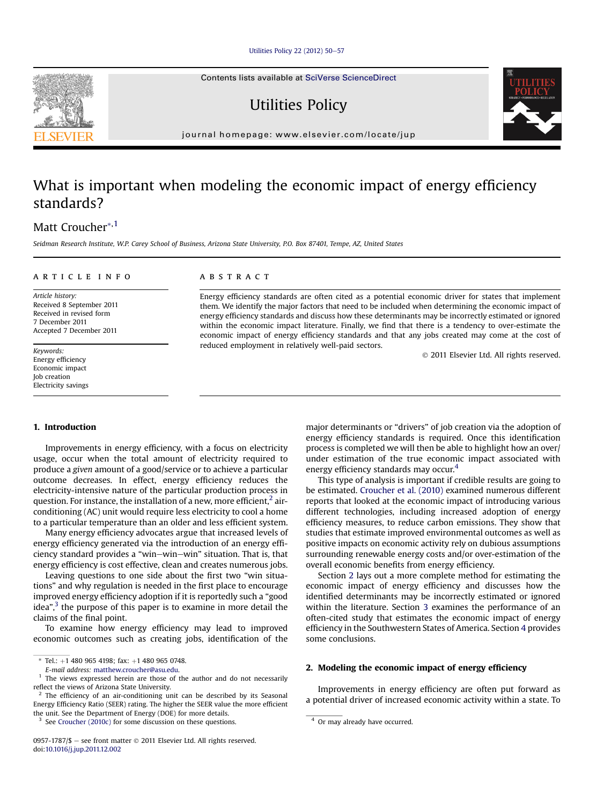[Utilities Policy 22 \(2012\) 50](http://dx.doi.org/10.1016/j.jup.2011.12.002)-[57](http://dx.doi.org/10.1016/j.jup.2011.12.002)

Contents lists available at SciVerse ScienceDirect

Utilities Policy



journal homepage: [www.elsevier.com/locate/jup](http://www.elsevier.com/locate/jup)

## What is important when modeling the economic impact of energy efficiency standards?

### Matt Croucher\*,1

Seidman Research Institute, W.P. Carey School of Business, Arizona State University, P.O. Box 87401, Tempe, AZ, United States

#### article info

Article history: Received 8 September 2011 Received in revised form 7 December 2011 Accepted 7 December 2011

Keywords: Energy efficiency Economic impact Job creation Electricity savings

#### 1. Introduction

Improvements in energy efficiency, with a focus on electricity usage, occur when the total amount of electricity required to produce a given amount of a good/service or to achieve a particular outcome decreases. In effect, energy efficiency reduces the electricity-intensive nature of the particular production process in question. For instance, the installation of a new, more efficient, $^2$  airconditioning (AC) unit would require less electricity to cool a home to a particular temperature than an older and less efficient system.

Many energy efficiency advocates argue that increased levels of energy efficiency generated via the introduction of an energy efficiency standard provides a "win-win-win" situation. That is, that energy efficiency is cost effective, clean and creates numerous jobs.

Leaving questions to one side about the first two "win situations" and why regulation is needed in the first place to encourage improved energy efficiency adoption if it is reportedly such a "good idea",<sup>3</sup> the purpose of this paper is to examine in more detail the claims of the final point.

To examine how energy efficiency may lead to improved economic outcomes such as creating jobs, identification of the

<sup>2</sup> The efficiency of an air-conditioning unit can be described by its Seasonal Energy Efficiency Ratio (SEER) rating. The higher the SEER value the more efficient the unit. See the Department of Energy (DOE) for more details.

#### **ABSTRACT**

Energy efficiency standards are often cited as a potential economic driver for states that implement them. We identify the major factors that need to be included when determining the economic impact of energy efficiency standards and discuss how these determinants may be incorrectly estimated or ignored within the economic impact literature. Finally, we find that there is a tendency to over-estimate the economic impact of energy efficiency standards and that any jobs created may come at the cost of reduced employment in relatively well-paid sectors.

2011 Elsevier Ltd. All rights reserved.

major determinants or "drivers" of job creation via the adoption of energy efficiency standards is required. Once this identification process is completed we will then be able to highlight how an over/ under estimation of the true economic impact associated with energy efficiency standards may occur.<sup>4</sup>

This type of analysis is important if credible results are going to be estimated. [Croucher et al. \(2010\)](#page--1-0) examined numerous different reports that looked at the economic impact of introducing various different technologies, including increased adoption of energy efficiency measures, to reduce carbon emissions. They show that studies that estimate improved environmental outcomes as well as positive impacts on economic activity rely on dubious assumptions surrounding renewable energy costs and/or over-estimation of the overall economic benefits from energy efficiency.

Section 2 lays out a more complete method for estimating the economic impact of energy efficiency and discusses how the identified determinants may be incorrectly estimated or ignored within the literature. Section [3](#page--1-0) examines the performance of an often-cited study that estimates the economic impact of energy efficiency in the Southwestern States of America. Section [4](#page--1-0) provides some conclusions.

#### 2. Modeling the economic impact of energy efficiency

Improvements in energy efficiency are often put forward as a potential driver of increased economic activity within a state. To



 $*$  Tel.: +1 480 965 4198; fax: +1 480 965 0748.

E-mail address: [matthew.croucher@asu.edu.](mailto:matthew.croucher@asu.edu)

 $1$  The views expressed herein are those of the author and do not necessarily reflect the views of Arizona State University.

See [Croucher \(2010c\)](#page--1-0) for some discussion on these questions. 4 Or may already have occurred.

<sup>0957-1787/\$ -</sup> see front matter  $\odot$  2011 Elsevier Ltd. All rights reserved. doi:[10.1016/j.jup.2011.12.002](http://dx.doi.org/10.1016/j.jup.2011.12.002)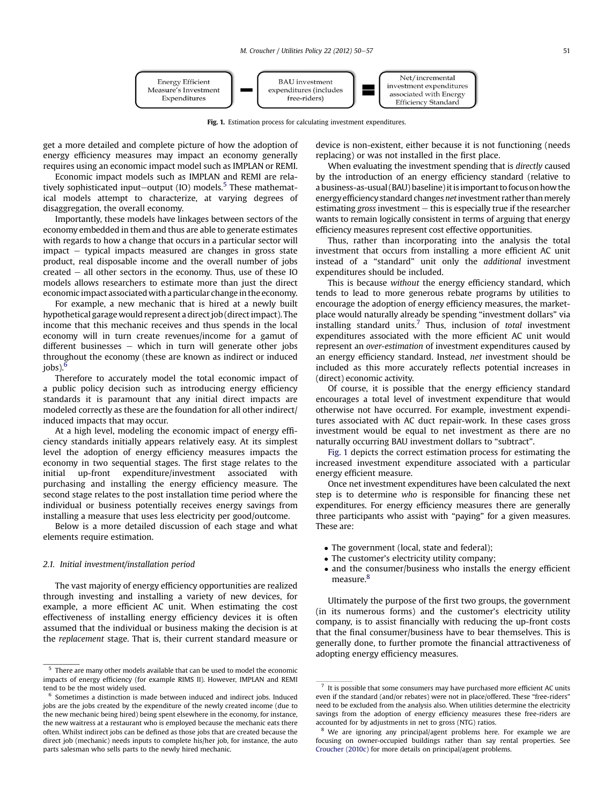

Fig. 1. Estimation process for calculating investment expenditures.

get a more detailed and complete picture of how the adoption of energy efficiency measures may impact an economy generally requires using an economic impact model such as IMPLAN or REMI.

Economic impact models such as IMPLAN and REMI are relatively sophisticated input-output (IO) models.<sup>5</sup> These mathematical models attempt to characterize, at varying degrees of disaggregation, the overall economy.

Importantly, these models have linkages between sectors of the economy embedded in them and thus are able to generate estimates with regards to how a change that occurs in a particular sector will  $impact - typical$  impacts measured are changes in gross state product, real disposable income and the overall number of jobs created  $-$  all other sectors in the economy. Thus, use of these IO models allows researchers to estimate more than just the direct economic impact associatedwith a particular change in the economy.

For example, a new mechanic that is hired at a newly built hypothetical garagewould represent a direct job (direct impact). The income that this mechanic receives and thus spends in the local economy will in turn create revenues/income for a gamut of different businesses  $-$  which in turn will generate other jobs throughout the economy (these are known as indirect or induced  $i$ obs).<sup>6</sup>

Therefore to accurately model the total economic impact of a public policy decision such as introducing energy efficiency standards it is paramount that any initial direct impacts are modeled correctly as these are the foundation for all other indirect/ induced impacts that may occur.

At a high level, modeling the economic impact of energy efficiency standards initially appears relatively easy. At its simplest level the adoption of energy efficiency measures impacts the economy in two sequential stages. The first stage relates to the initial up-front expenditure/investment associated with purchasing and installing the energy efficiency measure. The second stage relates to the post installation time period where the individual or business potentially receives energy savings from installing a measure that uses less electricity per good/outcome.

Below is a more detailed discussion of each stage and what elements require estimation.

#### 2.1. Initial investment/installation period

The vast majority of energy efficiency opportunities are realized through investing and installing a variety of new devices, for example, a more efficient AC unit. When estimating the cost effectiveness of installing energy efficiency devices it is often assumed that the individual or business making the decision is at the replacement stage. That is, their current standard measure or device is non-existent, either because it is not functioning (needs replacing) or was not installed in the first place.

When evaluating the investment spending that is *directly* caused by the introduction of an energy efficiency standard (relative to a business-as-usual (BAU) baseline) it is important to focus on how the energy efficiency standard changes net investment rather than merely estimating gross investment  $-$  this is especially true if the researcher wants to remain logically consistent in terms of arguing that energy efficiency measures represent cost effective opportunities.

Thus, rather than incorporating into the analysis the total investment that occurs from installing a more efficient AC unit instead of a "standard" unit only the additional investment expenditures should be included.

This is because without the energy efficiency standard, which tends to lead to more generous rebate programs by utilities to encourage the adoption of energy efficiency measures, the marketplace would naturally already be spending "investment dollars" via installing standard units. $7$  Thus, inclusion of total investment expenditures associated with the more efficient AC unit would represent an over-estimation of investment expenditures caused by an energy efficiency standard. Instead, net investment should be included as this more accurately reflects potential increases in (direct) economic activity.

Of course, it is possible that the energy efficiency standard encourages a total level of investment expenditure that would otherwise not have occurred. For example, investment expenditures associated with AC duct repair-work. In these cases gross investment would be equal to net investment as there are no naturally occurring BAU investment dollars to "subtract".

Fig. 1 depicts the correct estimation process for estimating the increased investment expenditure associated with a particular energy efficient measure.

Once net investment expenditures have been calculated the next step is to determine who is responsible for financing these net expenditures. For energy efficiency measures there are generally three participants who assist with "paying" for a given measures. These are:

- The government (local, state and federal);
- The customer's electricity utility company;
- and the consumer/business who installs the energy efficient measure.<sup>8</sup>

Ultimately the purpose of the first two groups, the government (in its numerous forms) and the customer's electricity utility company, is to assist financially with reducing the up-front costs that the final consumer/business have to bear themselves. This is generally done, to further promote the financial attractiveness of adopting energy efficiency measures.

<sup>5</sup> There are many other models available that can be used to model the economic impacts of energy efficiency (for example RIMS II). However, IMPLAN and REMI tend to be the most widely used.

<sup>6</sup> Sometimes a distinction is made between induced and indirect jobs. Induced jobs are the jobs created by the expenditure of the newly created income (due to the new mechanic being hired) being spent elsewhere in the economy, for instance, the new waitress at a restaurant who is employed because the mechanic eats there often. Whilst indirect jobs can be defined as those jobs that are created because the direct job (mechanic) needs inputs to complete his/her job, for instance, the auto parts salesman who sells parts to the newly hired mechanic.

 $7$  It is possible that some consumers may have purchased more efficient AC units even if the standard (and/or rebates) were not in place/offered. These "free-riders" need to be excluded from the analysis also. When utilities determine the electricity savings from the adoption of energy efficiency measures these free-riders are accounted for by adjustments in net to gross (NTG) ratios.

<sup>&</sup>lt;sup>8</sup> We are ignoring any principal/agent problems here. For example we are focusing on owner-occupied buildings rather than say rental properties. See [Croucher \(2010c\)](#page--1-0) for more details on principal/agent problems.